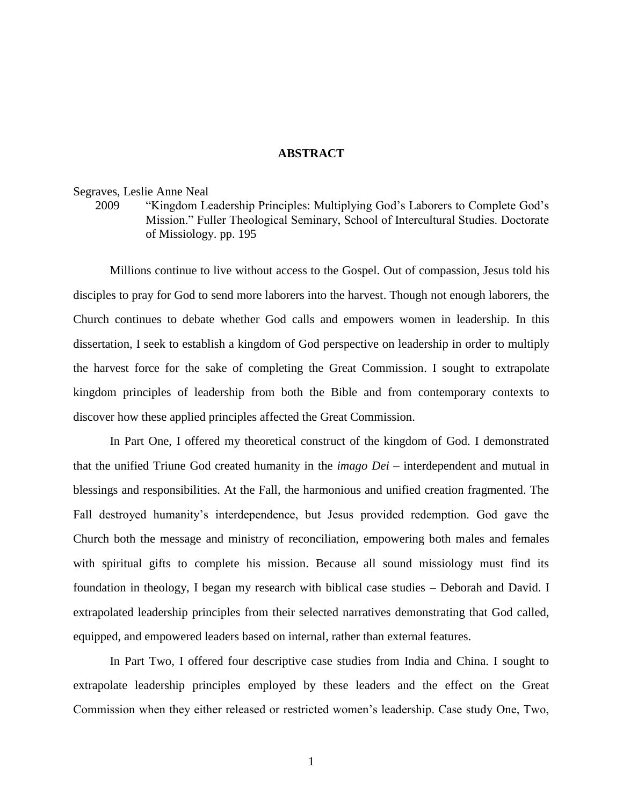## **ABSTRACT**

## Segraves, Leslie Anne Neal

2009 "Kingdom Leadership Principles: Multiplying God's Laborers to Complete God's Mission." Fuller Theological Seminary, School of Intercultural Studies. Doctorate of Missiology. pp. 195

Millions continue to live without access to the Gospel. Out of compassion, Jesus told his disciples to pray for God to send more laborers into the harvest. Though not enough laborers, the Church continues to debate whether God calls and empowers women in leadership. In this dissertation, I seek to establish a kingdom of God perspective on leadership in order to multiply the harvest force for the sake of completing the Great Commission. I sought to extrapolate kingdom principles of leadership from both the Bible and from contemporary contexts to discover how these applied principles affected the Great Commission.

In Part One, I offered my theoretical construct of the kingdom of God. I demonstrated that the unified Triune God created humanity in the *imago Dei –* interdependent and mutual in blessings and responsibilities. At the Fall, the harmonious and unified creation fragmented. The Fall destroyed humanity's interdependence, but Jesus provided redemption. God gave the Church both the message and ministry of reconciliation, empowering both males and females with spiritual gifts to complete his mission. Because all sound missiology must find its foundation in theology, I began my research with biblical case studies – Deborah and David. I extrapolated leadership principles from their selected narratives demonstrating that God called, equipped, and empowered leaders based on internal, rather than external features.

In Part Two, I offered four descriptive case studies from India and China. I sought to extrapolate leadership principles employed by these leaders and the effect on the Great Commission when they either released or restricted women's leadership. Case study One, Two,